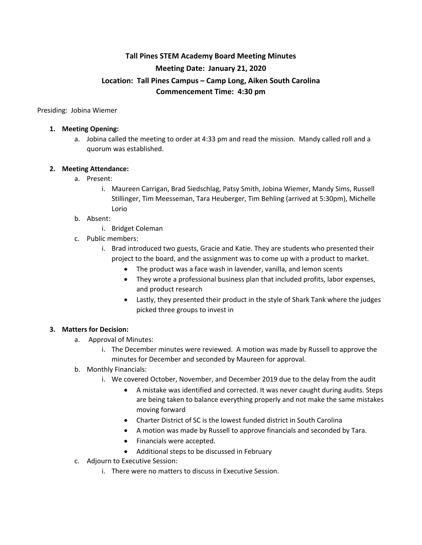# **Tall Pines STEM Academy Board Meeting Minutes Meeting Date: January 21, 2020 Location: Tall Pines Campus – Camp Long, Aiken South Carolina Commencement Time: 4:30 pm**

Presiding: Jobina Wiemer

#### **1. Meeting Opening:**

a. Jobina called the meeting to order at 4:33 pm and read the mission. Mandy called roll and a quorum was established.

### **2. Meeting Attendance:**

- a. Present:
	- i. Maureen Carrigan, Brad Siedschlag, Patsy Smith, Jobina Wiemer, Mandy Sims, Russell Stillinger, Tim Meesseman, Tara Heuberger, Tim Behling (arrived at 5:30pm), Michelle Lorio

#### b. Absent:

- i. Bridget Coleman
- c. Public members:
	- i. Brad introduced two guests, Gracie and Katie. They are students who presented their project to the board, and the assignment was to come up with a product to market.
		- The product was a face wash in lavender, vanilla, and lemon scents
		- They wrote a professional business plan that included profits, labor expenses, and product research
		- Lastly, they presented their product in the style of Shark Tank where the judges picked three groups to invest in

### **3. Matters for Decision:**

- a. Approval of Minutes:
	- i. The December minutes were reviewed. A motion was made by Russell to approve the minutes for December and seconded by Maureen for approval.
- b. Monthly Financials:
	- i. We covered October, November, and December 2019 due to the delay from the audit
		- A mistake was identified and corrected. It was never caught during audits. Steps are being taken to balance everything properly and not make the same mistakes moving forward
		- Charter District of SC is the lowest funded district in South Carolina
		- A motion was made by Russell to approve financials and seconded by Tara.
		- Financials were accepted.
		- Additional steps to be discussed in February
- c. Adjourn to Executive Session:
	- i. There were no matters to discuss in Executive Session.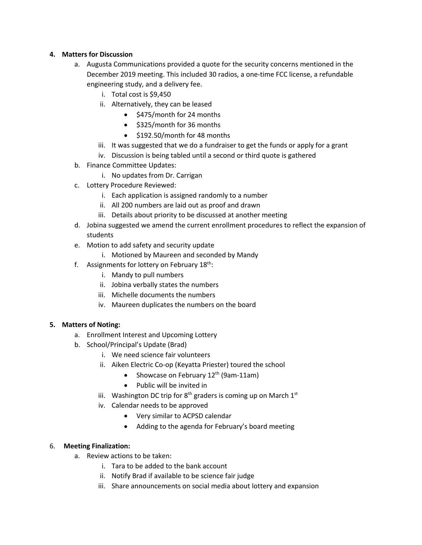## **4. Matters for Discussion**

- a. Augusta Communications provided a quote for the security concerns mentioned in the December 2019 meeting. This included 30 radios, a one-time FCC license, a refundable engineering study, and a delivery fee.
	- i. Total cost is \$9,450
	- ii. Alternatively, they can be leased
		- \$475/month for 24 months
		- \$325/month for 36 months
		- \$192.50/month for 48 months
	- iii. It was suggested that we do a fundraiser to get the funds or apply for a grant
	- iv. Discussion is being tabled until a second or third quote is gathered
- b. Finance Committee Updates:
	- i. No updates from Dr. Carrigan
- c. Lottery Procedure Reviewed:
	- i. Each application is assigned randomly to a number
	- ii. All 200 numbers are laid out as proof and drawn
	- iii. Details about priority to be discussed at another meeting
- d. Jobina suggested we amend the current enrollment procedures to reflect the expansion of students
- e. Motion to add safety and security update
	- i. Motioned by Maureen and seconded by Mandy
- f. Assignments for lottery on February  $18<sup>th</sup>$ :
	- i. Mandy to pull numbers
	- ii. Jobina verbally states the numbers
	- iii. Michelle documents the numbers
	- iv. Maureen duplicates the numbers on the board

## **5. Matters of Noting:**

- a. Enrollment Interest and Upcoming Lottery
- b. School/Principal's Update (Brad)
	- i. We need science fair volunteers
	- ii. Aiken Electric Co-op (Keyatta Priester) toured the school
		- Showcase on February  $12^{th}$  (9am-11am)
		- Public will be invited in
	- iii. Washington DC trip for  $8<sup>th</sup>$  graders is coming up on March  $1<sup>st</sup>$
	- iv. Calendar needs to be approved
		- Very similar to ACPSD calendar
		- Adding to the agenda for February's board meeting

## 6. **Meeting Finalization:**

- a. Review actions to be taken:
	- i. Tara to be added to the bank account
	- ii. Notify Brad if available to be science fair judge
	- iii. Share announcements on social media about lottery and expansion